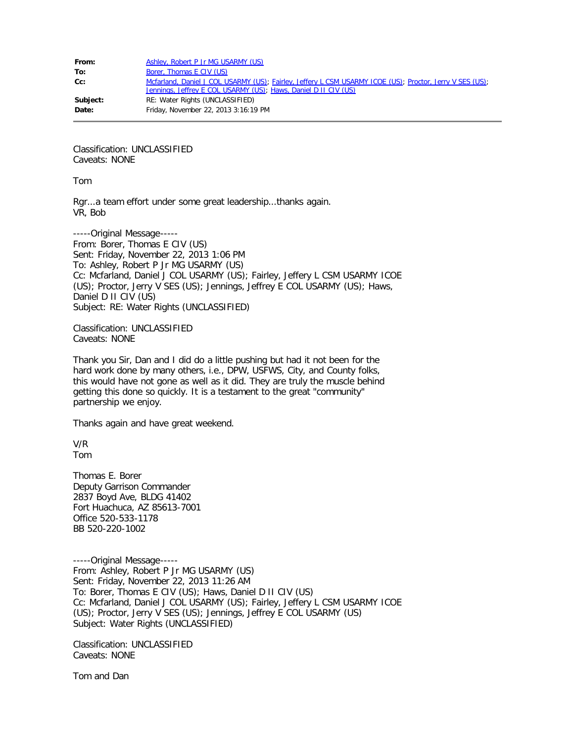| From:    | Ashley, Robert P Jr MG USARMY (US)                                                                                                                                          |
|----------|-----------------------------------------------------------------------------------------------------------------------------------------------------------------------------|
| To:      | Borer, Thomas E CIV (US)                                                                                                                                                    |
| $Cc$ :   | Mcfarland, Daniel J COL USARMY (US); Fairley, Jeffery L CSM USARMY ICOE (US); Proctor, Jerry V SES (US);<br>Jennings, Jeffrey E COL USARMY (US); Haws, Daniel D II CIV (US) |
| Subject: | RE: Water Rights (UNCLASSIFIED)                                                                                                                                             |
| Date:    | Friday, November 22, 2013 3:16:19 PM                                                                                                                                        |

Classification: UNCLASSIFIED Caveats: NONE

Tom

Rgr...a team effort under some great leadership...thanks again. VR, Bob

-----Original Message----- From: Borer, Thomas E CIV (US) Sent: Friday, November 22, 2013 1:06 PM To: Ashley, Robert P Jr MG USARMY (US) Cc: Mcfarland, Daniel J COL USARMY (US); Fairley, Jeffery L CSM USARMY ICOE (US); Proctor, Jerry V SES (US); Jennings, Jeffrey E COL USARMY (US); Haws, Daniel D II CIV (US) Subject: RE: Water Rights (UNCLASSIFIED)

Classification: UNCLASSIFIED Caveats: NONE

Thank you Sir, Dan and I did do a little pushing but had it not been for the hard work done by many others, i.e., DPW, USFWS, City, and County folks, this would have not gone as well as it did. They are truly the muscle behind getting this done so quickly. It is a testament to the great "community" partnership we enjoy.

Thanks again and have great weekend.

V/R Tom

Thomas E. Borer Deputy Garrison Commander 2837 Boyd Ave, BLDG 41402 Fort Huachuca, AZ 85613-7001 Office 520-533-1178 BB 520-220-1002

-----Original Message----- From: Ashley, Robert P Jr MG USARMY (US) Sent: Friday, November 22, 2013 11:26 AM To: Borer, Thomas E CIV (US); Haws, Daniel D II CIV (US) Cc: Mcfarland, Daniel J COL USARMY (US); Fairley, Jeffery L CSM USARMY ICOE (US); Proctor, Jerry V SES (US); Jennings, Jeffrey E COL USARMY (US) Subject: Water Rights (UNCLASSIFIED)

Classification: UNCLASSIFIED Caveats: NONE

Tom and Dan